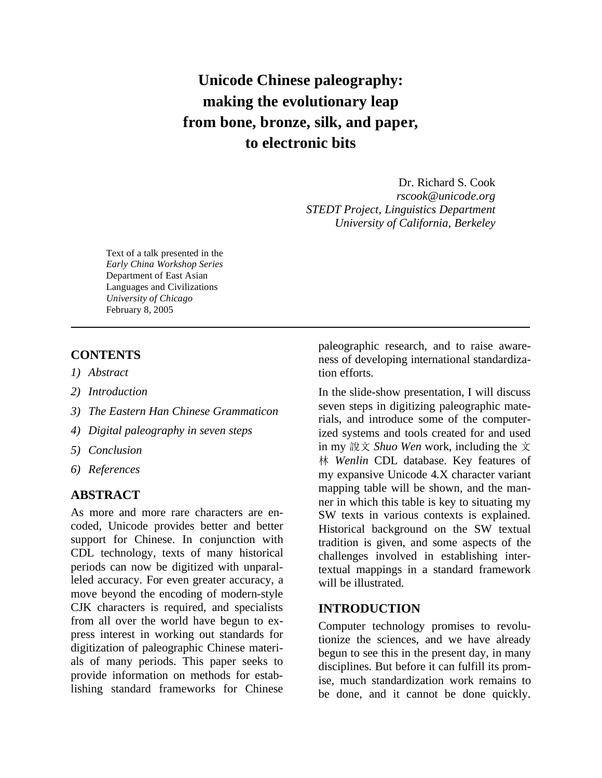# **Unicode Chinese paleography: making the evolutionary leap from bone, bronze, silk, and paper, to electronic bits**

Dr. Richard S. Cook *rscook@unicode.org STEDT Project, Linguistics Department University of California, Berkeley* 

Text of a talk presented in the *Early China Workshop Series*  Department of East Asian Languages and Civilizations *University of Chicago*  February 8, 2005

### **CONTENTS**

- *1) Abstract*
- *2) Introduction*
- *3) The Eastern Han Chinese Grammaticon*
- *4) Digital paleography in seven steps*
- *5) Conclusion*
- *6) References*

### **ABSTRACT**

As more and more rare characters are encoded, Unicode provides better and better support for Chinese. In conjunction with CDL technology, texts of many historical periods can now be digitized with unparalleled accuracy. For even greater accuracy, a move beyond the encoding of modern-style CJK characters is required, and specialists from all over the world have begun to express interest in working out standards for digitization of paleographic Chinese materials of many periods. This paper seeks to provide information on methods for establishing standard frameworks for Chinese

paleographic research, and to raise awareness of developing international standardization efforts.

In the slide-show presentation, I will discuss seven steps in digitizing paleographic materials, and introduce some of the computerized systems and tools created for and used in my 說文 Shuo Wen work, including the 文 *Wenlin* CDL database. Key features of my expansive Unicode 4.X character variant mapping table will be shown, and the manner in which this table is key to situating my SW texts in various contexts is explained. Historical background on the SW textual tradition is given, and some aspects of the challenges involved in establishing intertextual mappings in a standard framework will be illustrated.

### **INTRODUCTION**

Computer technology promises to revolutionize the sciences, and we have already begun to see this in the present day, in many disciplines. But before it can fulfill its promise, much standardization work remains to be done, and it cannot be done quickly.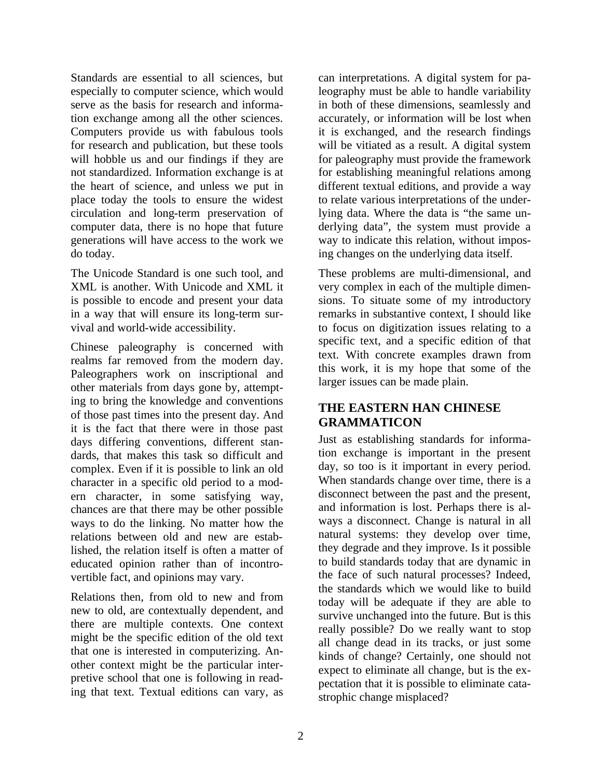Standards are essential to all sciences, but especially to computer science, which would serve as the basis for research and information exchange among all the other sciences. Computers provide us with fabulous tools for research and publication, but these tools will hobble us and our findings if they are not standardized. Information exchange is at the heart of science, and unless we put in place today the tools to ensure the widest circulation and long-term preservation of computer data, there is no hope that future generations will have access to the work we do today.

The Unicode Standard is one such tool, and XML is another. With Unicode and XML it is possible to encode and present your data in a way that will ensure its long-term survival and world-wide accessibility.

Chinese paleography is concerned with realms far removed from the modern day. Paleographers work on inscriptional and other materials from days gone by, attempting to bring the knowledge and conventions of those past times into the present day. And it is the fact that there were in those past days differing conventions, different standards, that makes this task so difficult and complex. Even if it is possible to link an old character in a specific old period to a modern character, in some satisfying way, chances are that there may be other possible ways to do the linking. No matter how the relations between old and new are established, the relation itself is often a matter of educated opinion rather than of incontrovertible fact, and opinions may vary.

Relations then, from old to new and from new to old, are contextually dependent, and there are multiple contexts. One context might be the specific edition of the old text that one is interested in computerizing. Another context might be the particular interpretive school that one is following in reading that text. Textual editions can vary, as

can interpretations. A digital system for paleography must be able to handle variability in both of these dimensions, seamlessly and accurately, or information will be lost when it is exchanged, and the research findings will be vitiated as a result. A digital system for paleography must provide the framework for establishing meaningful relations among different textual editions, and provide a way to relate various interpretations of the underlying data. Where the data is "the same underlying data", the system must provide a way to indicate this relation, without imposing changes on the underlying data itself.

These problems are multi-dimensional, and very complex in each of the multiple dimensions. To situate some of my introductory remarks in substantive context, I should like to focus on digitization issues relating to a specific text, and a specific edition of that text. With concrete examples drawn from this work, it is my hope that some of the larger issues can be made plain.

# **THE EASTERN HAN CHINESE GRAMMATICON**

Just as establishing standards for information exchange is important in the present day, so too is it important in every period. When standards change over time, there is a disconnect between the past and the present, and information is lost. Perhaps there is always a disconnect. Change is natural in all natural systems: they develop over time, they degrade and they improve. Is it possible to build standards today that are dynamic in the face of such natural processes? Indeed, the standards which we would like to build today will be adequate if they are able to survive unchanged into the future. But is this really possible? Do we really want to stop all change dead in its tracks, or just some kinds of change? Certainly, one should not expect to eliminate all change, but is the expectation that it is possible to eliminate catastrophic change misplaced?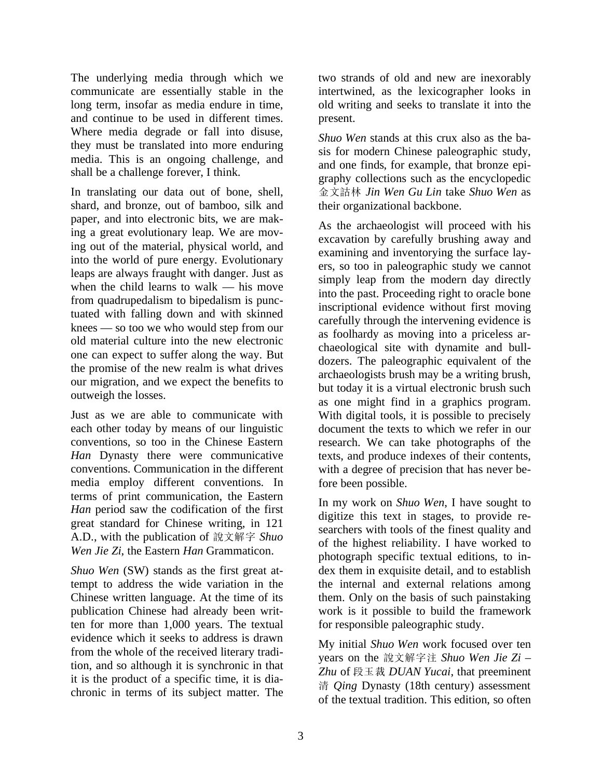The underlying media through which we communicate are essentially stable in the long term, insofar as media endure in time, and continue to be used in different times. Where media degrade or fall into disuse, they must be translated into more enduring media. This is an ongoing challenge, and shall be a challenge forever, I think.

In translating our data out of bone, shell, shard, and bronze, out of bamboo, silk and paper, and into electronic bits, we are making a great evolutionary leap. We are moving out of the material, physical world, and into the world of pure energy. Evolutionary leaps are always fraught with danger. Just as when the child learns to walk — his move from quadrupedalism to bipedalism is punctuated with falling down and with skinned knees — so too we who would step from our old material culture into the new electronic one can expect to suffer along the way. But the promise of the new realm is what drives our migration, and we expect the benefits to outweigh the losses.

Just as we are able to communicate with each other today by means of our linguistic conventions, so too in the Chinese Eastern *Han* Dynasty there were communicative conventions. Communication in the different media employ different conventions. In terms of print communication, the Eastern *Han* period saw the codification of the first great standard for Chinese writing, in 121 A.D., with the publication of  - *Shuo Wen Jie Zi*, the Eastern *Han* Grammaticon.

*Shuo Wen* (SW) stands as the first great attempt to address the wide variation in the Chinese written language. At the time of its publication Chinese had already been written for more than 1,000 years. The textual evidence which it seeks to address is drawn from the whole of the received literary tradition, and so although it is synchronic in that it is the product of a specific time, it is diachronic in terms of its subject matter. The two strands of old and new are inexorably intertwined, as the lexicographer looks in old writing and seeks to translate it into the present.

*Shuo Wen* stands at this crux also as the basis for modern Chinese paleographic study, and one finds, for example, that bronze epigraphy collections such as the encyclopedic *Jin Wen Gu Lin* take *Shuo Wen* as their organizational backbone.

As the archaeologist will proceed with his excavation by carefully brushing away and examining and inventorying the surface layers, so too in paleographic study we cannot simply leap from the modern day directly into the past. Proceeding right to oracle bone inscriptional evidence without first moving carefully through the intervening evidence is as foolhardy as moving into a priceless archaeological site with dynamite and bulldozers. The paleographic equivalent of the archaeologists brush may be a writing brush, but today it is a virtual electronic brush such as one might find in a graphics program. With digital tools, it is possible to precisely document the texts to which we refer in our research. We can take photographs of the texts, and produce indexes of their contents, with a degree of precision that has never before been possible.

In my work on *Shuo Wen*, I have sought to digitize this text in stages, to provide researchers with tools of the finest quality and of the highest reliability. I have worked to photograph specific textual editions, to index them in exquisite detail, and to establish the internal and external relations among them. Only on the basis of such painstaking work is it possible to build the framework for responsible paleographic study.

My initial *Shuo Wen* work focused over ten years on the 說文解字注 Shuo Wen Jie Zi – Zhu of 段玉裁 DUAN Yucai, that preeminent *Qing* Dynasty (18th century) assessment of the textual tradition. This edition, so often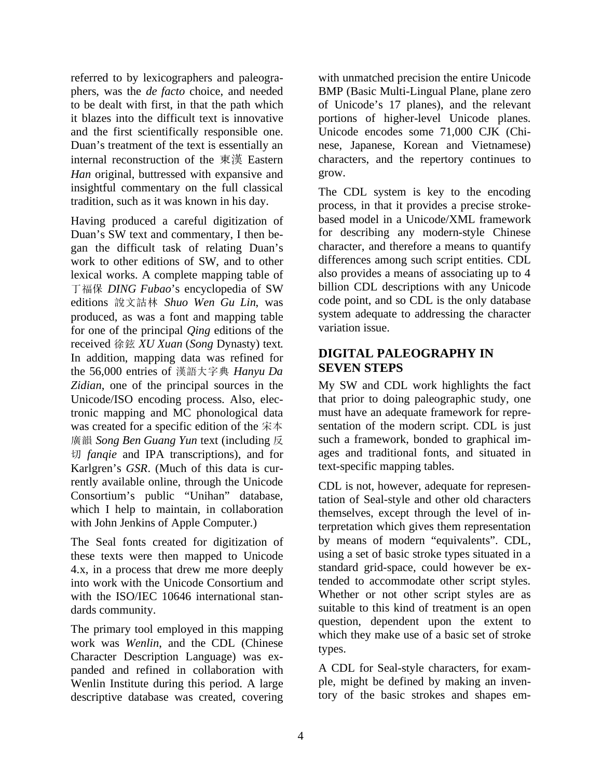referred to by lexicographers and paleographers, was the *de facto* choice, and needed to be dealt with first, in that the path which it blazes into the difficult text is innovative and the first scientifically responsible one. Duan's treatment of the text is essentially an internal reconstruction of the 東漢 Eastern *Han* original, buttressed with expansive and insightful commentary on the full classical tradition, such as it was known in his day.

Having produced a careful digitization of Duan's SW text and commentary, I then began the difficult task of relating Duan's work to other editions of SW, and to other lexical works. A complete mapping table of - *DING Fubao*'s encyclopedia of SW editions 說文詁林 Shuo Wen Gu Lin, was produced, as was a font and mapping table for one of the principal *Qing* editions of the received *XU Xuan* (*Song* Dynasty) text. In addition, mapping data was refined for the 56,000 entries of 漢語大字典 Hanyu Da *Zidian*, one of the principal sources in the Unicode/ISO encoding process. Also, electronic mapping and MC phonological data was created for a specific edition of the 宋本 *Song Ben Guang Yun* text (including *fanqie* and IPA transcriptions), and for Karlgren's *GSR*. (Much of this data is currently available online, through the Unicode Consortium's public "Unihan" database, which I help to maintain, in collaboration with John Jenkins of Apple Computer.)

The Seal fonts created for digitization of these texts were then mapped to Unicode 4.x, in a process that drew me more deeply into work with the Unicode Consortium and with the ISO/IEC 10646 international standards community.

The primary tool employed in this mapping work was *Wenlin*, and the CDL (Chinese Character Description Language) was expanded and refined in collaboration with Wenlin Institute during this period. A large descriptive database was created, covering

with unmatched precision the entire Unicode BMP (Basic Multi-Lingual Plane, plane zero of Unicode's 17 planes), and the relevant portions of higher-level Unicode planes. Unicode encodes some 71,000 CJK (Chinese, Japanese, Korean and Vietnamese) characters, and the repertory continues to grow.

The CDL system is key to the encoding process, in that it provides a precise strokebased model in a Unicode/XML framework for describing any modern-style Chinese character, and therefore a means to quantify differences among such script entities. CDL also provides a means of associating up to 4 billion CDL descriptions with any Unicode code point, and so CDL is the only database system adequate to addressing the character variation issue.

## **DIGITAL PALEOGRAPHY IN SEVEN STEPS**

My SW and CDL work highlights the fact that prior to doing paleographic study, one must have an adequate framework for representation of the modern script. CDL is just such a framework, bonded to graphical images and traditional fonts, and situated in text-specific mapping tables.

CDL is not, however, adequate for representation of Seal-style and other old characters themselves, except through the level of interpretation which gives them representation by means of modern "equivalents". CDL, using a set of basic stroke types situated in a standard grid-space, could however be extended to accommodate other script styles. Whether or not other script styles are as suitable to this kind of treatment is an open question, dependent upon the extent to which they make use of a basic set of stroke types.

A CDL for Seal-style characters, for example, might be defined by making an inventory of the basic strokes and shapes em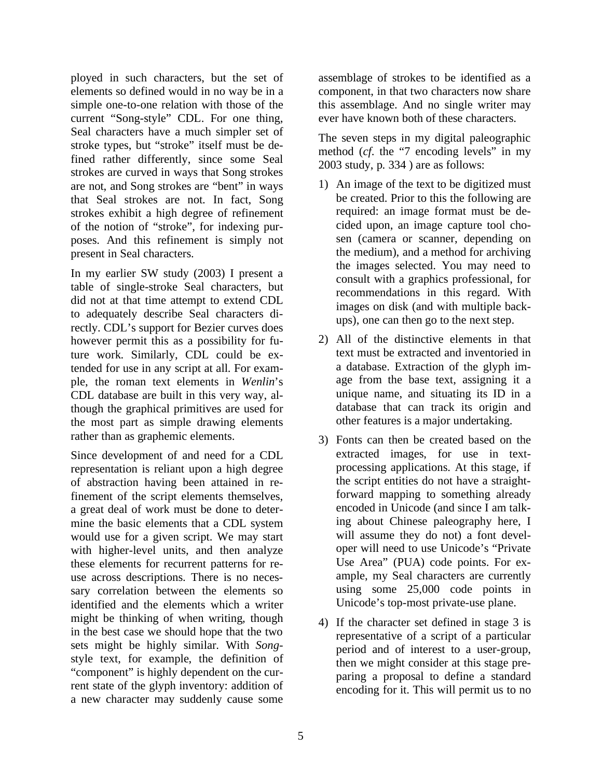ployed in such characters, but the set of elements so defined would in no way be in a simple one-to-one relation with those of the current "Song-style" CDL. For one thing, Seal characters have a much simpler set of stroke types, but "stroke" itself must be defined rather differently, since some Seal strokes are curved in ways that Song strokes are not, and Song strokes are "bent" in ways that Seal strokes are not. In fact, Song strokes exhibit a high degree of refinement of the notion of "stroke", for indexing purposes. And this refinement is simply not present in Seal characters.

In my earlier SW study (2003) I present a table of single-stroke Seal characters, but did not at that time attempt to extend CDL to adequately describe Seal characters directly. CDL's support for Bezier curves does however permit this as a possibility for future work. Similarly, CDL could be extended for use in any script at all. For example, the roman text elements in *Wenlin*'s CDL database are built in this very way, although the graphical primitives are used for the most part as simple drawing elements rather than as graphemic elements.

Since development of and need for a CDL representation is reliant upon a high degree of abstraction having been attained in refinement of the script elements themselves, a great deal of work must be done to determine the basic elements that a CDL system would use for a given script. We may start with higher-level units, and then analyze these elements for recurrent patterns for reuse across descriptions. There is no necessary correlation between the elements so identified and the elements which a writer might be thinking of when writing, though in the best case we should hope that the two sets might be highly similar. With *Song*style text, for example, the definition of "component" is highly dependent on the current state of the glyph inventory: addition of a new character may suddenly cause some

assemblage of strokes to be identified as a component, in that two characters now share this assemblage. And no single writer may ever have known both of these characters.

The seven steps in my digital paleographic method (*cf*. the "7 encoding levels" in my 2003 study, p. 334 ) are as follows:

- 1) An image of the text to be digitized must be created. Prior to this the following are required: an image format must be decided upon, an image capture tool chosen (camera or scanner, depending on the medium), and a method for archiving the images selected. You may need to consult with a graphics professional, for recommendations in this regard. With images on disk (and with multiple backups), one can then go to the next step.
- 2) All of the distinctive elements in that text must be extracted and inventoried in a database. Extraction of the glyph image from the base text, assigning it a unique name, and situating its ID in a database that can track its origin and other features is a major undertaking.
- 3) Fonts can then be created based on the extracted images, for use in textprocessing applications. At this stage, if the script entities do not have a straightforward mapping to something already encoded in Unicode (and since I am talking about Chinese paleography here, I will assume they do not) a font developer will need to use Unicode's "Private Use Area" (PUA) code points. For example, my Seal characters are currently using some 25,000 code points in Unicode's top-most private-use plane.
- 4) If the character set defined in stage 3 is representative of a script of a particular period and of interest to a user-group, then we might consider at this stage preparing a proposal to define a standard encoding for it. This will permit us to no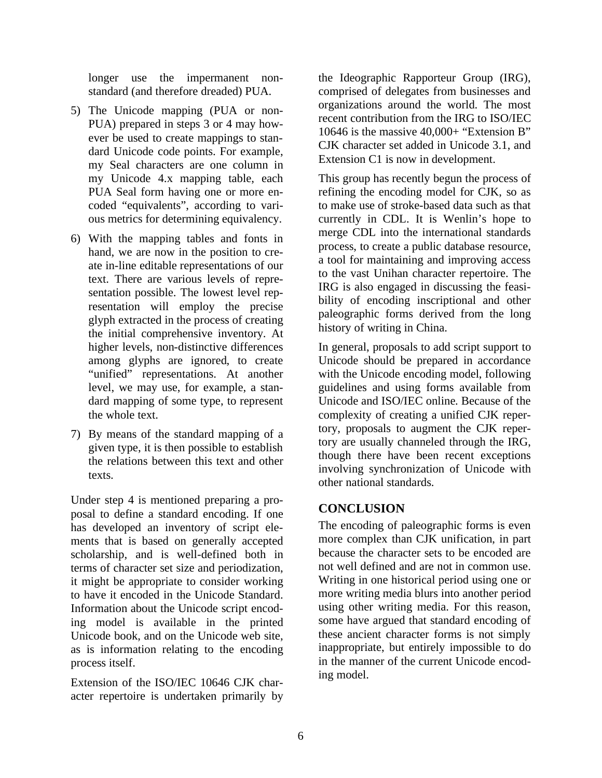longer use the impermanent nonstandard (and therefore dreaded) PUA.

- 5) The Unicode mapping (PUA or non-PUA) prepared in steps 3 or 4 may however be used to create mappings to standard Unicode code points. For example, my Seal characters are one column in my Unicode 4.x mapping table, each PUA Seal form having one or more encoded "equivalents", according to various metrics for determining equivalency.
- 6) With the mapping tables and fonts in hand, we are now in the position to create in-line editable representations of our text. There are various levels of representation possible. The lowest level representation will employ the precise glyph extracted in the process of creating the initial comprehensive inventory. At higher levels, non-distinctive differences among glyphs are ignored, to create "unified" representations. At another level, we may use, for example, a standard mapping of some type, to represent the whole text.
- 7) By means of the standard mapping of a given type, it is then possible to establish the relations between this text and other texts.

Under step 4 is mentioned preparing a proposal to define a standard encoding. If one has developed an inventory of script elements that is based on generally accepted scholarship, and is well-defined both in terms of character set size and periodization, it might be appropriate to consider working to have it encoded in the Unicode Standard. Information about the Unicode script encoding model is available in the printed Unicode book, and on the Unicode web site, as is information relating to the encoding process itself.

Extension of the ISO/IEC 10646 CJK character repertoire is undertaken primarily by the Ideographic Rapporteur Group (IRG), comprised of delegates from businesses and organizations around the world. The most recent contribution from the IRG to ISO/IEC 10646 is the massive 40,000+ "Extension B" CJK character set added in Unicode 3.1, and Extension C1 is now in development.

This group has recently begun the process of refining the encoding model for CJK, so as to make use of stroke-based data such as that currently in CDL. It is Wenlin's hope to merge CDL into the international standards process, to create a public database resource, a tool for maintaining and improving access to the vast Unihan character repertoire. The IRG is also engaged in discussing the feasibility of encoding inscriptional and other paleographic forms derived from the long history of writing in China.

In general, proposals to add script support to Unicode should be prepared in accordance with the Unicode encoding model, following guidelines and using forms available from Unicode and ISO/IEC online. Because of the complexity of creating a unified CJK repertory, proposals to augment the CJK repertory are usually channeled through the IRG, though there have been recent exceptions involving synchronization of Unicode with other national standards.

### **CONCLUSION**

The encoding of paleographic forms is even more complex than CJK unification, in part because the character sets to be encoded are not well defined and are not in common use. Writing in one historical period using one or more writing media blurs into another period using other writing media. For this reason, some have argued that standard encoding of these ancient character forms is not simply inappropriate, but entirely impossible to do in the manner of the current Unicode encoding model.